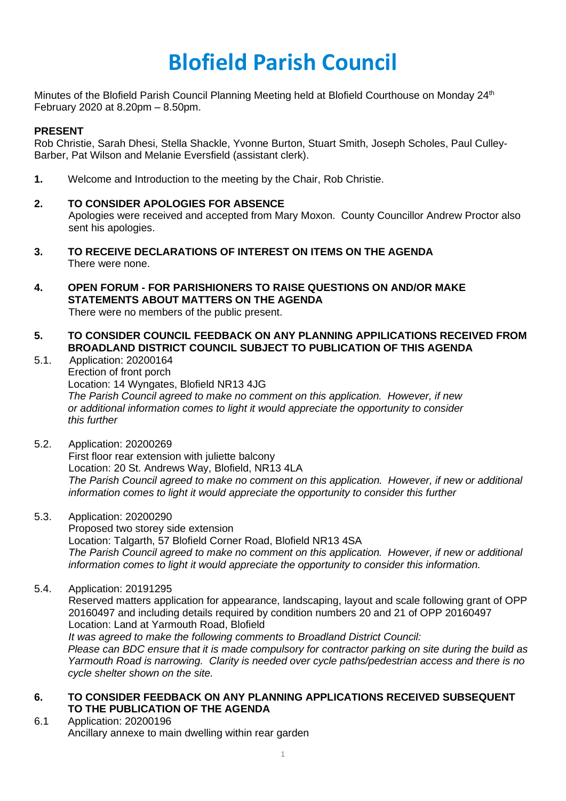# **Blofield Parish Council**

Minutes of the Blofield Parish Council Planning Meeting held at Blofield Courthouse on Monday 24<sup>th</sup> February 2020 at 8.20pm – 8.50pm.

### **PRESENT**

Rob Christie, Sarah Dhesi, Stella Shackle, Yvonne Burton, Stuart Smith, Joseph Scholes, Paul Culley-Barber, Pat Wilson and Melanie Eversfield (assistant clerk).

**1.** Welcome and Introduction to the meeting by the Chair, Rob Christie.

#### **2. TO CONSIDER APOLOGIES FOR ABSENCE**

Apologies were received and accepted from Mary Moxon. County Councillor Andrew Proctor also sent his apologies.

- **3. TO RECEIVE DECLARATIONS OF INTEREST ON ITEMS ON THE AGENDA** There were none.
- **4. OPEN FORUM - FOR PARISHIONERS TO RAISE QUESTIONS ON AND/OR MAKE STATEMENTS ABOUT MATTERS ON THE AGENDA**  There were no members of the public present.
- **5. TO CONSIDER COUNCIL FEEDBACK ON ANY PLANNING APPILICATIONS RECEIVED FROM BROADLAND DISTRICT COUNCIL SUBJECT TO PUBLICATION OF THIS AGENDA**
- 5.1. Application: 20200164 Erection of front porch Location: 14 Wyngates, Blofield NR13 4JG *The Parish Council agreed to make no comment on this application. However, if new or additional information comes to light it would appreciate the opportunity to consider this further*
- 5.2. Application: 20200269 First floor rear extension with juliette balcony Location: 20 St. Andrews Way, Blofield, NR13 4LA *The Parish Council agreed to make no comment on this application. However, if new or additional information comes to light it would appreciate the opportunity to consider this further*
- 5.3. Application: 20200290

Proposed two storey side extension Location: Talgarth, 57 Blofield Corner Road, Blofield NR13 4SA *The Parish Council agreed to make no comment on this application. However, if new or additional information comes to light it would appreciate the opportunity to consider this information.* 

5.4. Application: 20191295

Reserved matters application for appearance, landscaping, layout and scale following grant of OPP 20160497 and including details required by condition numbers 20 and 21 of OPP 20160497 Location: Land at Yarmouth Road, Blofield *It was agreed to make the following comments to Broadland District Council:* Please can BDC ensure that it is made compulsory for contractor parking on site during the build as

*Yarmouth Road is narrowing. Clarity is needed over cycle paths/pedestrian access and there is no cycle shelter shown on the site.*

## **6. TO CONSIDER FEEDBACK ON ANY PLANNING APPLICATIONS RECEIVED SUBSEQUENT TO THE PUBLICATION OF THE AGENDA**

6.1 Application: 20200196 Ancillary annexe to main dwelling within rear garden